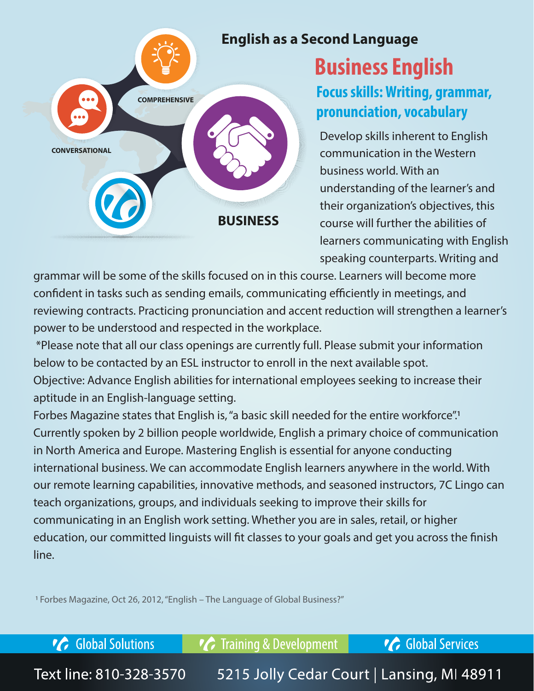

## **Business English**

**Focus skills: Writing, grammar, pronunciation, vocabulary**

Develop skills inherent to English communication in the Western business world. With an understanding of the learner's and their organization's objectives, this course will further the abilities of learners communicating with English speaking counterparts. Writing and

grammar will be some of the skills focused on in this course. Learners will become more confident in tasks such as sending emails, communicating efficiently in meetings, and reviewing contracts. Practicing pronunciation and accent reduction will strengthen a learner's power to be understood and respected in the workplace.

 \*Please note that all our class openings are currently full. Please submit your information below to be contacted by an ESL instructor to enroll in the next available spot. Objective: Advance English abilities for international employees seeking to increase their aptitude in an English-language setting.

Forbes Magazine states that English is, "a basic skill needed for the entire workforce".<sup>1</sup> Currently spoken by 2 billion people worldwide, English a primary choice of communication in North America and Europe. Mastering English is essential for anyone conducting international business. We can accommodate English learners anywhere in the world. With our remote learning capabilities, innovative methods, and seasoned instructors, 7C Lingo can teach organizations, groups, and individuals seeking to improve their skills for communicating in an English work setting. Whether you are in sales, retail, or higher education, our committed linguists will fit classes to your goals and get you across the finish line.

1 Forbes Magazine, Oct 26, 2012, "English – The Language of Global Business?"

**C** Global Solutions *C* Training & Development **C** Global Services

Text line: 810-328-3570 5215 Jolly Cedar Court | Lansing, MI 48911